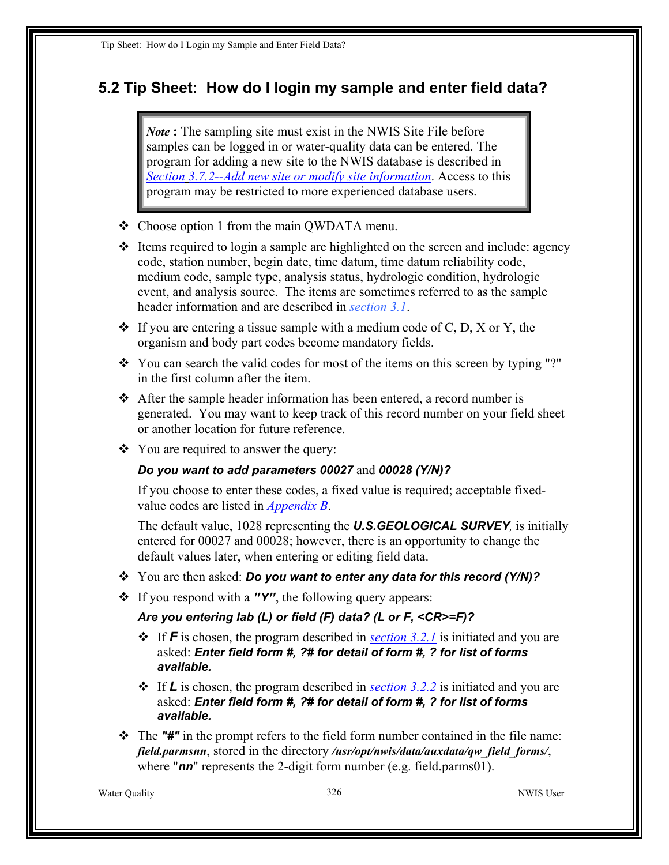## <span id="page-0-0"></span>**5.2 Tip Sheet: How do I login my sample and enter field data?**

*Note* **:** The sampling site must exist in the NWIS Site File before samples can be logged in or water-quality data can be entered. The program for adding a new site to the NWIS database is described in *Section 3.7.2--Add new site or modify site information*. Access to this program may be restricted to more experienced database users.

- Choose option 1 from the main QWDATA menu.
- $\triangleleft$  Items required to login a sample are highlighted on the screen and include: agency code, station number, begin date, time datum, time datum reliability code, medium code, sample type, analysis status, hydrologic condition, hydrologic event, and analysis source. The items are sometimes referred to as the sample header information and are described in *section 3.1*.
- $\bullet$  If you are entering a tissue sample with a medium code of C, D, X or Y, the organism and body part codes become mandatory fields.
- \* You can search the valid codes for most of the items on this screen by typing "?" in the first column after the item.
- After the sample header information has been entered, a record number is generated. You may want to keep track of this record number on your field sheet or another location for future reference.
- You are required to answer the query:

## *Do you want to add parameters 00027* and *00028 (Y/N)?*

If you choose to enter these codes, a fixed value is required; acceptable fixedvalue codes are listed in *Appendix B*.

The default value, 1028 representing the *U.S.GEOLOGICAL SURVEY,* is initially entered for 00027 and 00028; however, there is an opportunity to change the default values later, when entering or editing field data.

- You are then asked: *Do you want to enter any data for this record (Y/N)?*
- If you respond with a *"Y"*, the following query appears:

## *Are you entering lab (L) or field (F) data? (L or F, <CR>=F)?*

- If *F* is chosen, the program described in *[section 3.2.1](#page-6-0)* is initiated and you are asked: *Enter field form #, ?# for detail of form #, ? for list of forms available.*
- If *L* is chosen, the program described in *[section 3.2.2](#page-9-0)* is initiated and you are asked: *Enter field form #, ?# for detail of form #, ? for list of forms available.*
- The *"#"* in the prompt refers to the field form number contained in the file name: *field.parmsnn*, stored in the directory */usr/opt/nwis/data/auxdata/qw\_field\_forms/*, where "**nn**" represents the 2-digit form number (e.g. field.parms01).

Water Quality 326 NWIS User